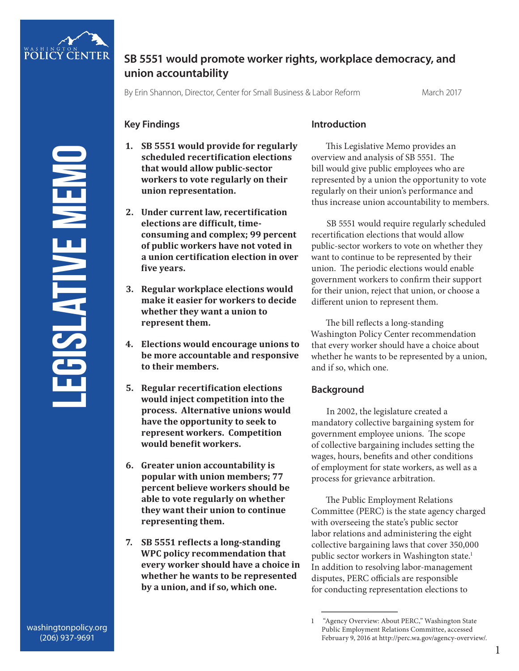

# **SB 5551 would promote worker rights, workplace democracy, and union accountability**

By Erin Shannon, Director, Center for Small Business & Labor Reform March 2017

## **Key Findings**

- **1. SB 5551 would provide for regularly scheduled recertification elections that would allow public-sector workers to vote regularly on their union representation.**
- **2. Under current law, recertification elections are difficult, timeconsuming and complex; 99 percent of public workers have not voted in a union certification election in over five years.**
- **3. Regular workplace elections would make it easier for workers to decide whether they want a union to represent them.**
- **4. Elections would encourage unions to be more accountable and responsive to their members.**
- **5. Regular recertification elections would inject competition into the process. Alternative unions would have the opportunity to seek to represent workers. Competition would benefit workers.**
- **6. Greater union accountability is popular with union members; 77 percent believe workers should be able to vote regularly on whether they want their union to continue representing them.**
- **7. SB 5551 reflects a long-standing WPC policy recommendation that every worker should have a choice in whether he wants to be represented by a union, and if so, which one.**

### **Introduction**

This Legislative Memo provides an overview and analysis of SB 5551. The bill would give public employees who are represented by a union the opportunity to vote regularly on their union's performance and thus increase union accountability to members.

SB 5551 would require regularly scheduled recertification elections that would allow public-sector workers to vote on whether they want to continue to be represented by their union. The periodic elections would enable government workers to confirm their support for their union, reject that union, or choose a different union to represent them.

The bill reflects a long-standing Washington Policy Center recommendation that every worker should have a choice about whether he wants to be represented by a union, and if so, which one.

## **Background**

In 2002, the legislature created a mandatory collective bargaining system for government employee unions. The scope of collective bargaining includes setting the wages, hours, benefits and other conditions of employment for state workers, as well as a process for grievance arbitration.

The Public Employment Relations Committee (PERC) is the state agency charged with overseeing the state's public sector labor relations and administering the eight collective bargaining laws that cover 350,000 public sector workers in Washington state.<sup>1</sup> In addition to resolving labor-management disputes, PERC officials are responsible for conducting representation elections to

<sup>1 &</sup>quot;Agency Overview: About PERC," Washington State Public Employment Relations Committee, accessed February 9, 2016 at http://perc.wa.gov/agency-overview/.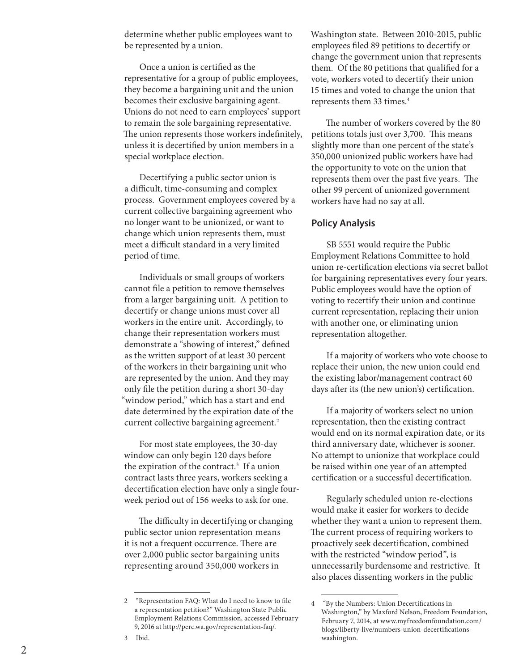determine whether public employees want to be represented by a union.

Once a union is certified as the representative for a group of public employees, they become a bargaining unit and the union becomes their exclusive bargaining agent. Unions do not need to earn employees' support to remain the sole bargaining representative. The union represents those workers indefinitely, unless it is decertified by union members in a special workplace election.

Decertifying a public sector union is a difficult, time-consuming and complex process. Government employees covered by a current collective bargaining agreement who no longer want to be unionized, or want to change which union represents them, must meet a difficult standard in a very limited period of time.

Individuals or small groups of workers cannot file a petition to remove themselves from a larger bargaining unit. A petition to decertify or change unions must cover all workers in the entire unit. Accordingly, to change their representation workers must demonstrate a "showing of interest," defined as the written support of at least 30 percent of the workers in their bargaining unit who are represented by the union. And they may only file the petition during a short 30-day "window period," which has a start and end date determined by the expiration date of the current collective bargaining agreement. 2

For most state employees, the 30-day window can only begin 120 days before the expiration of the contract. 3 If a union contract lasts three years, workers seeking a decertification election have only a single fourweek period out of 156 weeks to ask for one.

The difficulty in decertifying or changing public sector union representation means it is not a frequent occurrence. There are over 2,000 public sector bargaining units representing around 350,000 workers in<br>2  $\overline{C}$  "Representation FAQ: What do I need to know to file

3 Ibid.

Washington state. Between 2010-2015, public employees filed 89 petitions to decertify or change the government union that represents them. Of the 80 petitions that qualified for a vote, workers voted to decertify their union 15 times and voted to change the union that represents them 33 times. 4

The number of workers covered by the 80 petitions totals just over 3,700. This means slightly more than one percent of the state's 350,000 unionized public workers have had the opportunity to vote on the union that represents them over the past five years. The other 99 percent of unionized government workers have had no say at all.

#### **Policy Analysis**

SB 5551 would require the Public Employment Relations Committee to hold union re-certification elections via secret ballot for bargaining representatives every four years. Public employees would have the option of voting to recertify their union and continue current representation, replacing their union with another one, or eliminating union representation altogether.

If a majority of workers who vote choose to replace their union, the new union could end the existing labor/management contract 60 days after its (the new union's) certification.

If a majority of workers select no union representation, then the existing contract would end on its normal expiration date, or its third anniversary date, whichever is sooner. No attempt to unionize that workplace could be raised within one year of an attempted certification or a successful decertification.

Regularly scheduled union re-elections would make it easier for workers to decide whether they want a union to represent them. The current process of requiring workers to proactively seek decertification, combined with the restricted "window period", is unnecessarily burdensome and restrictive. It also places dissenting workers in the public<br>4 "By the Numbers: Union Decertifications in

a representation petition?" Washington State Public Employment Relations Commission, accessed February 9, 2016 at http://perc.wa.gov/representation-faq/.

Washington," by Maxford Nelson, Freedom Foundation, February 7, 2014, at www.myfreedomfoundation.com/ blogs/liberty-live/numbers-union-decertificationswashington.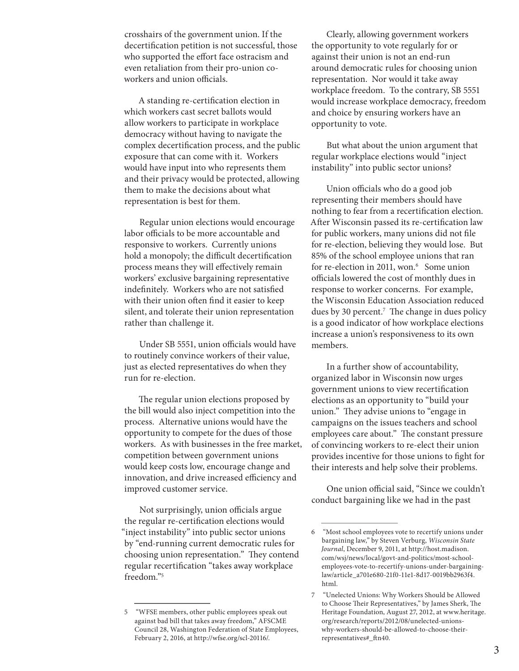crosshairs of the government union. If the decertification petition is not successful, those who supported the effort face ostracism and even retaliation from their pro-union coworkers and union officials.

A standing re-certification election in which workers cast secret ballots would allow workers to participate in workplace democracy without having to navigate the complex decertification process, and the public exposure that can come with it. Workers would have input into who represents them and their privacy would be protected, allowing them to make the decisions about what representation is best for them.

Regular union elections would encourage labor officials to be more accountable and responsive to workers. Currently unions hold a monopoly; the difficult decertification process means they will effectively remain workers' exclusive bargaining representative indefinitely. Workers who are not satisfied with their union often find it easier to keep silent, and tolerate their union representation rather than challenge it.

Under SB 5551, union officials would have to routinely convince workers of their value, just as elected representatives do when they run for re-election.

The regular union elections proposed by the bill would also inject competition into the process. Alternative unions would have the opportunity to compete for the dues of those workers. As with businesses in the free market, competition between government unions would keep costs low, encourage change and innovation, and drive increased efficiency and improved customer service.

Not surprisingly, union officials argue the regular re-certification elections would "inject instability" into public sector unions by "end-running current democratic rules for choosing union representation." They contend regular recertification "takes away workplace freedom."5

Clearly, allowing government workers the opportunity to vote regularly for or against their union is not an end-run around democratic rules for choosing union representation. Nor would it take away workplace freedom. To the contrary, SB 5551 would increase workplace democracy, freedom and choice by ensuring workers have an opportunity to vote.

But what about the union argument that regular workplace elections would "inject instability" into public sector unions?

Union officials who do a good job representing their members should have nothing to fear from a recertification election. After Wisconsin passed its re-certification law for public workers, many unions did not file for re-election, believing they would lose. But 85% of the school employee unions that ran for re-election in 2011, won.<sup>6</sup> Some union officials lowered the cost of monthly dues in response to worker concerns. For example, the Wisconsin Education Association reduced dues by 30 percent.7 The change in dues policy is a good indicator of how workplace elections increase a union's responsiveness to its own members.

In a further show of accountability, organized labor in Wisconsin now urges government unions to view recertification elections as an opportunity to "build your union." They advise unions to "engage in campaigns on the issues teachers and school employees care about." The constant pressure of convincing workers to re-elect their union provides incentive for those unions to fight for their interests and help solve their problems.

One union official said, "Since we couldn't conduct bargaining like we had in the past

<sup>5 &</sup>quot;WFSE members, other public employees speak out against bad bill that takes away freedom," AFSCME Council 28, Washington Federation of State Employees, February 2, 2016, at http://wfse.org/scl-20116/.

<sup>6 &</sup>quot;Most school employees vote to recertify unions under bargaining law," by Steven Verburg, *Wisconsin State Journal*, December 9, 2011, at http://host.madison. com/wsj/news/local/govt-and-politics/most-schoolemployees-vote-to-recertify-unions-under-bargaininglaw/article\_a701e680-21f0-11e1-8d17-0019bb2963f4. html.

<sup>7 &</sup>quot;Unelected Unions: Why Workers Should be Allowed to Choose Their Representatives," by James Sherk, The Heritage Foundation, August 27, 2012, at www.heritage. org/research/reports/2012/08/unelected-unionswhy-workers-should-be-allowed-to-choose-theirrepresentatives#\_ftn40.